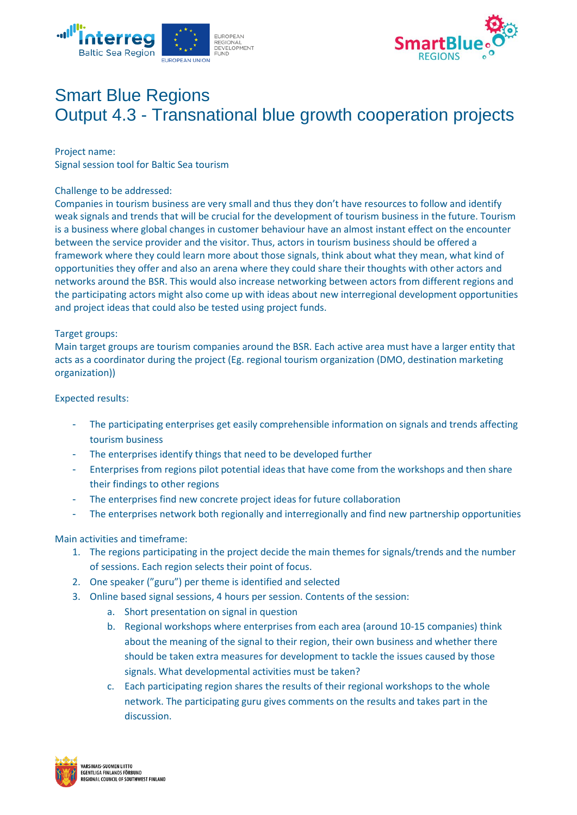



# Smart Blue Regions Output 4.3 - Transnational blue growth cooperation projects

Project name:

Signal session tool for Baltic Sea tourism

#### Challenge to be addressed:

Companies in tourism business are very small and thus they don't have resources to follow and identify weak signals and trends that will be crucial for the development of tourism business in the future. Tourism is a business where global changes in customer behaviour have an almost instant effect on the encounter between the service provider and the visitor. Thus, actors in tourism business should be offered a framework where they could learn more about those signals, think about what they mean, what kind of opportunities they offer and also an arena where they could share their thoughts with other actors and networks around the BSR. This would also increase networking between actors from different regions and the participating actors might also come up with ideas about new interregional development opportunities and project ideas that could also be tested using project funds.

### Target groups:

Main target groups are tourism companies around the BSR. Each active area must have a larger entity that acts as a coordinator during the project (Eg. regional tourism organization (DMO, destination marketing organization))

### Expected results:

- The participating enterprises get easily comprehensible information on signals and trends affecting tourism business
- The enterprises identify things that need to be developed further
- Enterprises from regions pilot potential ideas that have come from the workshops and then share their findings to other regions
- The enterprises find new concrete project ideas for future collaboration
- The enterprises network both regionally and interregionally and find new partnership opportunities

## Main activities and timeframe:

- 1. The regions participating in the project decide the main themes for signals/trends and the number of sessions. Each region selects their point of focus.
- 2. One speaker ("guru") per theme is identified and selected
- 3. Online based signal sessions, 4 hours per session. Contents of the session:
	- a. Short presentation on signal in question
	- b. Regional workshops where enterprises from each area (around 10-15 companies) think about the meaning of the signal to their region, their own business and whether there should be taken extra measures for development to tackle the issues caused by those signals. What developmental activities must be taken?
	- c. Each participating region shares the results of their regional workshops to the whole network. The participating guru gives comments on the results and takes part in the discussion.